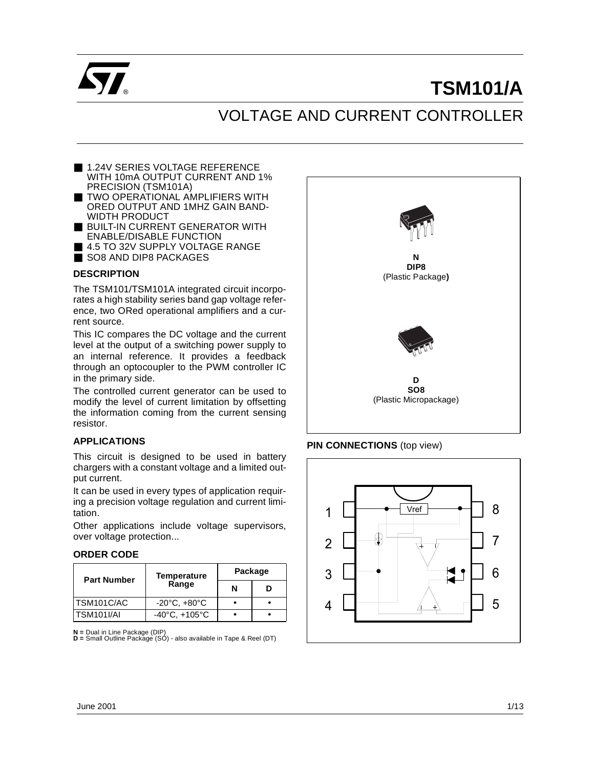

# **TSM101/A**

# VOLTAGE AND CURRENT CONTROLLER

- 1.24V SERIES VOLTAGE REFERENCE WITH 10mA OUTPUT CURRENT AND 1% PRECISION (TSM101A)
- TWO OPERATIONAL AMPLIFIERS WITH ORED OUTPUT AND 1MHZ GAIN BAND-WIDTH PRODUCT
- BUILT-IN CURRENT GENERATOR WITH ENABLE/DISABLE FUNCTION
- 4.5 TO 32V SUPPLY VOLTAGE RANGE
- SO8 AND DIP8 PACKAGES

#### **DESCRIPTION**

The TSM101/TSM101A integrated circuit incorporates a high stability series band gap voltage reference, two ORed operational amplifiers and a current source.

This IC compares the DC voltage and the current level at the output of a switching power supply to an internal reference. It provides a feedback through an optocoupler to the PWM controller IC in the primary side.

The controlled current generator can be used to modify the level of current limitation by offsetting the information coming from the current sensing resistor.

#### **APPLICATIONS**

This circuit is designed to be used in battery chargers with a constant voltage and a limited output current.

It can be used in every types of application requiring a precision voltage regulation and current limitation.

Other applications include voltage supervisors, over voltage protection...

#### **ORDER CODE**

| <b>Part Number</b> | <b>Temperature</b>                | Package |  |  |
|--------------------|-----------------------------------|---------|--|--|
|                    | Range                             | N<br>D  |  |  |
| TSM101C/AC         | $-20^{\circ}$ C, $+80^{\circ}$ C  |         |  |  |
| TSM101I/AI         | $-40^{\circ}$ C, $+105^{\circ}$ C |         |  |  |

**N =** Dual in Line Package (DIP) **D =** Small Outline Package (SO) - also available in Tape & Reel (DT)



#### **PIN CONNECTIONS** (top view)

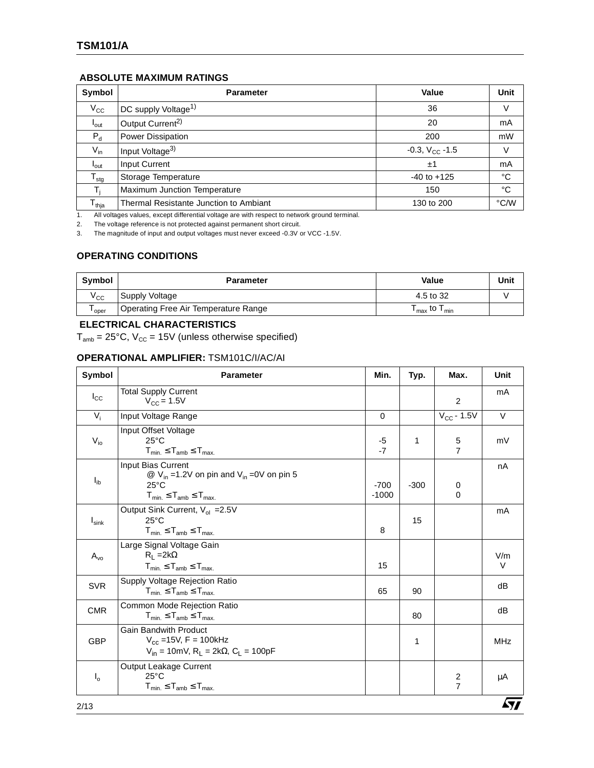#### **ABSOLUTE MAXIMUM RATINGS**

| Symbol           | <b>Parameter</b>                       | Value               | Unit        |
|------------------|----------------------------------------|---------------------|-------------|
| $V_{\rm CC}$     | DC supply Voltage <sup>1)</sup>        | 36                  | V           |
| $I_{\text{out}}$ | Output Current <sup>2)</sup>           | 20                  | mA          |
| $P_d$            | Power Dissipation                      | 200                 | mW          |
| $V_{in}$         | Input Voltage <sup>3)</sup>            | $-0.3, V_{CC} -1.5$ | V           |
| $I_{\text{out}}$ | Input Current                          | ±1                  | mA          |
| $T_{\text{stg}}$ | Storage Temperature                    | $-40$ to $+125$     | $^{\circ}C$ |
|                  | Maximum Junction Temperature           | 150                 | $^{\circ}C$ |
| $T_{thja}$       | Thermal Resistante Junction to Ambiant | 130 to 200          | °C/W        |

1. All voltages values, except differential voltage are with respect to network ground terminal.

2. The voltage reference is not protected against permanent short circuit.

3. The magnitude of input and output voltages must never exceed -0.3V or VCC -1.5V.

## **OPERATING CONDITIONS**

| Symbol       | <b>Parameter</b>                     | Value                                                      | Unit |
|--------------|--------------------------------------|------------------------------------------------------------|------|
| $V_{\rm CC}$ | Supply Voltage                       | 4.5 to 32                                                  |      |
| l oper       | Operating Free Air Temperature Range | $\mathsf{T}_{\mathsf{max}}$ to $\mathsf{T}_{\mathsf{min}}$ |      |

#### **ELECTRICAL CHARACTERISTICS**

 $T_{amb}$  = 25°C,  $V_{CC}$  = 15V (unless otherwise specified)

#### **OPERATIONAL AMPLIFIER:** TSM101C/I/AC/AI

| Symbol         | <b>Parameter</b>                                                                                                                     | Min.              | Typ.   | Max.                                      | <b>Unit</b> |
|----------------|--------------------------------------------------------------------------------------------------------------------------------------|-------------------|--------|-------------------------------------------|-------------|
| $I_{\rm CC}$   | <b>Total Supply Current</b><br>$V_{\rm CC} = 1.5V$                                                                                   |                   |        | 2                                         | mA          |
| $V_i$          | Input Voltage Range                                                                                                                  | $\mathbf 0$       |        | $V_{CC}$ - 1.5V                           | V           |
| $V_{io}$       | Input Offset Voltage<br>$25^{\circ}$ C<br>$T_{min} \leq T_{amb} \leq T_{max}$                                                        | -5<br>$-7$        | 1      | 5<br>$\overline{7}$                       | mV          |
| $I_{ib}$       | Input Bias Current<br>@ $V_{in}$ =1.2V on pin and $V_{in}$ =0V on pin 5<br>$25^{\circ}$ C<br>$T_{min.} \leq T_{amb} \leq T_{max.}$   | $-700$<br>$-1000$ | $-300$ | 0<br>$\Omega$                             | nA          |
| $I_{\sf sink}$ | Output Sink Current, V <sub>ol</sub> = 2.5V<br>$25^{\circ}$ C<br>$T_{min.} \leq T_{amb} \leq T_{max.}$                               | 8                 | 15     |                                           | mA          |
| $A_{\nu 0}$    | Large Signal Voltage Gain<br>$R_1 = 2k\Omega$<br>$T_{min.} \leq T_{amb} \leq T_{max.}$                                               | 15                |        |                                           | V/m<br>V    |
| <b>SVR</b>     | Supply Voltage Rejection Ratio<br>$T_{min.} \leq T_{amb} \leq T_{max.}$                                                              | 65                | 90     |                                           | dB          |
| <b>CMR</b>     | Common Mode Rejection Ratio<br>$T_{min.} \leq T_{amb} \leq T_{max.}$                                                                 |                   | 80     |                                           | dB          |
| <b>GBP</b>     | <b>Gain Bandwith Product</b><br>$V_{cc}$ =15V, F = 100kHz<br>$V_{in} = 10$ mV, R <sub>1</sub> = 2k $\Omega$ , C <sub>1</sub> = 100pF |                   | 1      |                                           | <b>MHz</b>  |
| $I_{o}$        | Output Leakage Current<br>$25^{\circ}$ C<br>$T_{min} \leq T_{amb} \leq T_{max}$                                                      |                   |        | $\overline{\mathbf{c}}$<br>$\overline{7}$ | μA          |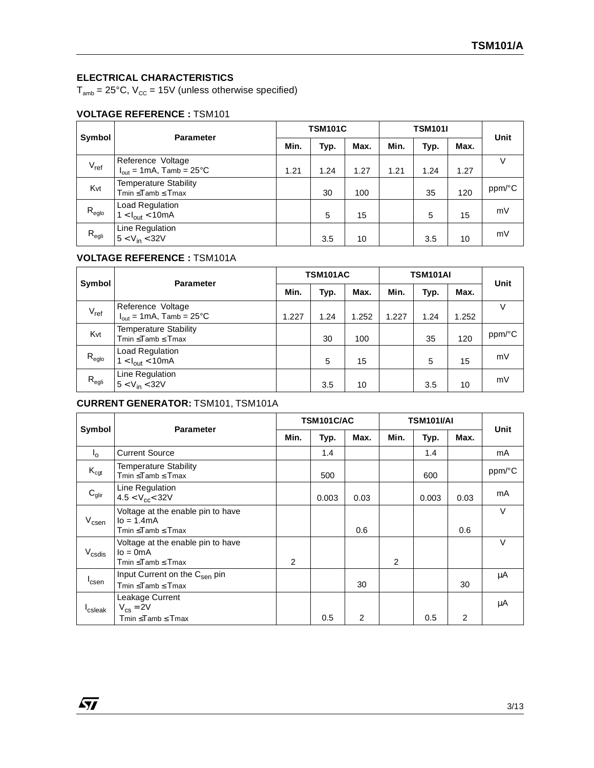### **ELECTRICAL CHARACTERISTICS**

 $T_{amb}$  = 25°C,  $V_{cc}$  = 15V (unless otherwise specified)

# **VOLTAGE REFERENCE :** TSM101

| Symbol            | <b>Parameter</b>                                                  | <b>TSM101C</b> |      |      | <b>TSM101I</b> |      |      | Unit   |
|-------------------|-------------------------------------------------------------------|----------------|------|------|----------------|------|------|--------|
|                   |                                                                   | Min.           | Typ. | Max. | Min.           | Typ. | Max. |        |
| $V_{ref}$         | Reference Voltage<br>$I_{\text{out}} = 1 \text{mA}$ , Tamb = 25°C | 1.21           | 1.24 | 1.27 | 1.21           | 1.24 | 1.27 |        |
| Kvt               | <b>Temperature Stability</b><br>$Tmin \leq Tamb \leq Tmax$        |                | 30   | 100  |                | 35   | 120  | ppm/°C |
| $R_{\text{eglo}}$ | Load Regulation<br>$1 < I_{out} < 10mA$                           |                | 5    | 15   |                | 5    | 15   | mV     |
| $R_{\text{egli}}$ | Line Regulation<br>$5 < V_{in} < 32V$                             |                | 3.5  | 10   |                | 3.5  | 10   | mV     |

### **VOLTAGE REFERENCE :** TSM101A

| Symbol            | <b>Parameter</b>                                                  | <b>TSM101AC</b> |      |       | <b>TSM101AI</b> |      |       | Unit   |
|-------------------|-------------------------------------------------------------------|-----------------|------|-------|-----------------|------|-------|--------|
|                   |                                                                   | Min.            | Typ. | Max.  | Min.            | Typ. | Max.  |        |
| $V_{ref}$         | Reference Voltage<br>$I_{\text{out}} = 1 \text{mA}$ , Tamb = 25°C | 1.227           | 1.24 | 1.252 | 1.227           | 1.24 | 1.252 | v      |
| Kvt               | <b>Temperature Stability</b><br>Tmin < Tamb < Tmax                |                 | 30   | 100   |                 | 35   | 120   | ppm/°C |
| $R_{\text{eglo}}$ | Load Regulation<br>$1 < I_{out} < 10mA$                           |                 | 5    | 15    |                 | 5    | 15    | mV     |
| $R_{\text{egli}}$ | Line Regulation<br>$5 < V_{in} < 32V$                             |                 | 3.5  | 10    |                 | 3.5  | 10    | mV     |

# **CURRENT GENERATOR:** TSM101, TSM101A

|                     |                                                                          | TSM101C/AC |       |        | TSM101I/AI |       |      |        |
|---------------------|--------------------------------------------------------------------------|------------|-------|--------|------------|-------|------|--------|
| Symbol              | <b>Parameter</b>                                                         | Min.       | Typ.  | Max.   | Min.       | Typ.  | Max. | Unit   |
| $I_{\Omega}$        | <b>Current Source</b>                                                    |            | 1.4   |        |            | 1.4   |      | mA     |
| $K_{\text{cgt}}$    | <b>Temperature Stability</b><br>Tmin ≤Tamb ≤ Tmax<br>500<br>600          |            |       | ppm/°C |            |       |      |        |
| $C_{glir}$          | Line Regulation<br>$4.5 < V_{cc} < 32V$                                  |            | 0.003 | 0.03   |            | 0.003 | 0.03 | mA     |
| $V_{\text{csen}}$   | Voltage at the enable pin to have<br>$I_0 = 1.4mA$<br>Tmin < Tamb < Tmax |            |       | 0.6    |            |       | 0.6  | $\vee$ |
| $V_{\text{csdis}}$  | Voltage at the enable pin to have<br>$I_0 = 0mA$<br>Tmin ≤Tamb ≤ Tmax    | 2          |       |        | 2          |       |      | V      |
| <sup>I</sup> csen   | Input Current on the C <sub>sen</sub> pin<br>Tmin ≤Tamb ≤ Tmax           |            |       | 30     |            |       | 30   | μA     |
| <sup>I</sup> csleak | Leakage Current<br>$V_{cs} = 2V$<br>Tmin ≤Tamb ≤ Tmax                    |            | 0.5   | 2      |            | 0.5   | 2    | μA     |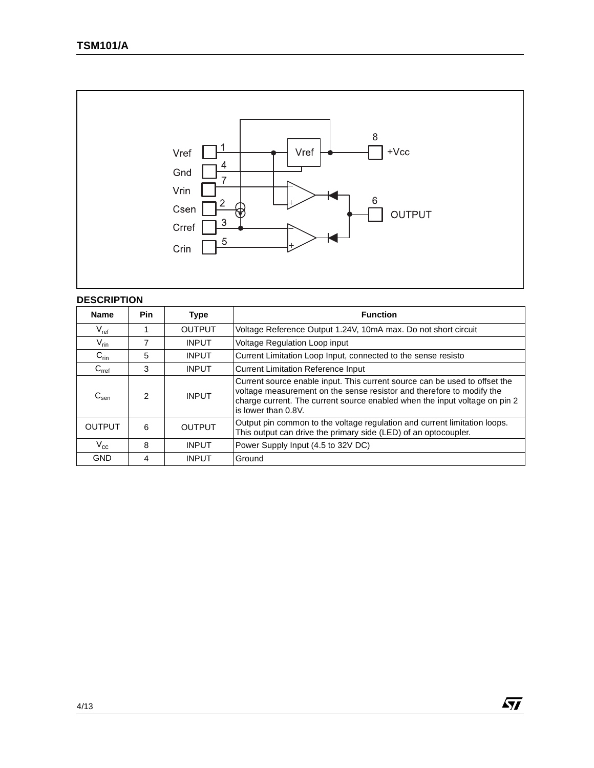

### **DESCRIPTION**

| <b>Name</b>               | <b>Pin</b> | <b>Type</b>   | <b>Function</b>                                                                                                                                                                                                                                          |
|---------------------------|------------|---------------|----------------------------------------------------------------------------------------------------------------------------------------------------------------------------------------------------------------------------------------------------------|
| $V_{ref}$                 |            | <b>OUTPUT</b> | Voltage Reference Output 1.24V, 10mA max. Do not short circuit                                                                                                                                                                                           |
| $V_{\text{rin}}$          |            | <b>INPUT</b>  | Voltage Regulation Loop input                                                                                                                                                                                                                            |
| $C_{\text{rin}}$          | 5          | <b>INPUT</b>  | Current Limitation Loop Input, connected to the sense resisto                                                                                                                                                                                            |
| C <sub>ref</sub>          | 3          | <b>INPUT</b>  | <b>Current Limitation Reference Input</b>                                                                                                                                                                                                                |
| $\mathtt{C}_\mathsf{sen}$ | 2          | <b>INPUT</b>  | Current source enable input. This current source can be used to offset the<br>voltage measurement on the sense resistor and therefore to modify the<br>charge current. The current source enabled when the input voltage on pin 2<br>is lower than 0.8V. |
| <b>OUTPUT</b>             | 6          | <b>OUTPUT</b> | Output pin common to the voltage regulation and current limitation loops.<br>This output can drive the primary side (LED) of an optocoupler.                                                                                                             |
| $\rm V_{cc}$              | 8          | <b>INPUT</b>  | Power Supply Input (4.5 to 32V DC)                                                                                                                                                                                                                       |
| <b>GND</b>                | 4          | <b>INPUT</b>  | Ground                                                                                                                                                                                                                                                   |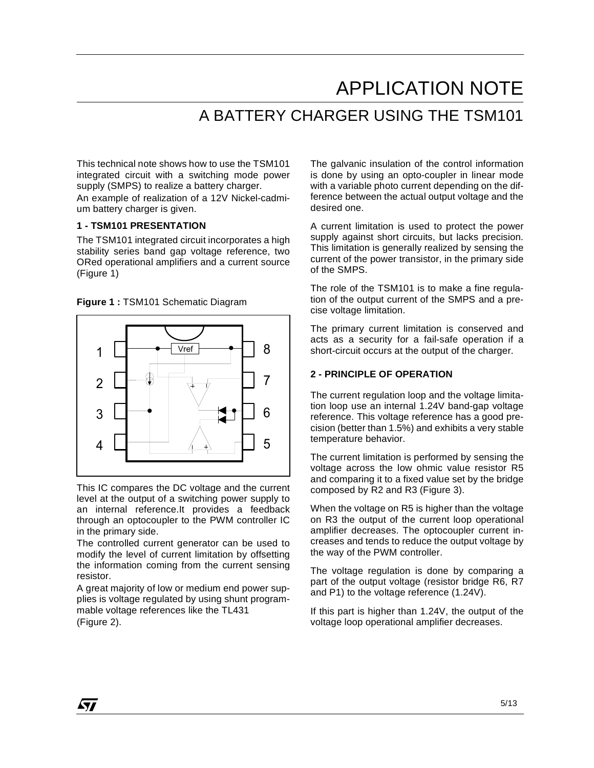# APPLICATION NOTE A BATTERY CHARGER USING THE TSM101

This technical note shows how to use the TSM101 integrated circuit with a switching mode power supply (SMPS) to realize a battery charger.

An example of realization of a 12V Nickel-cadmium battery charger is given.

#### **1 - TSM101 PRESENTATION**

The TSM101 integrated circuit incorporates a high stability series band gap voltage reference, two ORed operational amplifiers and a current source (Figure 1)

**Figure 1 :** TSM101 Schematic Diagram



This IC compares the DC voltage and the current level at the output of a switching power supply to an internal reference.It provides a feedback through an optocoupler to the PWM controller IC in the primary side.

The controlled current generator can be used to modify the level of current limitation by offsetting the information coming from the current sensing resistor.

A great majority of low or medium end power supplies is voltage regulated by using shunt programmable voltage references like the TL431 (Figure 2).

The galvanic insulation of the control information is done by using an opto-coupler in linear mode with a variable photo current depending on the difference between the actual output voltage and the desired one.

A current limitation is used to protect the power supply against short circuits, but lacks precision. This limitation is generally realized by sensing the current of the power transistor, in the primary side of the SMPS.

The role of the TSM101 is to make a fine regulation of the output current of the SMPS and a precise voltage limitation.

The primary current limitation is conserved and acts as a security for a fail-safe operation if a short-circuit occurs at the output of the charger.

#### **2 - PRINCIPLE OF OPERATION**

The current regulation loop and the voltage limitation loop use an internal 1.24V band-gap voltage reference. This voltage reference has a good precision (better than 1.5%) and exhibits a very stable temperature behavior.

The current limitation is performed by sensing the voltage across the low ohmic value resistor R5 and comparing it to a fixed value set by the bridge composed by R2 and R3 (Figure 3).

When the voltage on R5 is higher than the voltage on R3 the output of the current loop operational amplifier decreases. The optocoupler current increases and tends to reduce the output voltage by the way of the PWM controller.

The voltage regulation is done by comparing a part of the output voltage (resistor bridge R6, R7 and P1) to the voltage reference (1.24V).

If this part is higher than 1.24V, the output of the voltage loop operational amplifier decreases.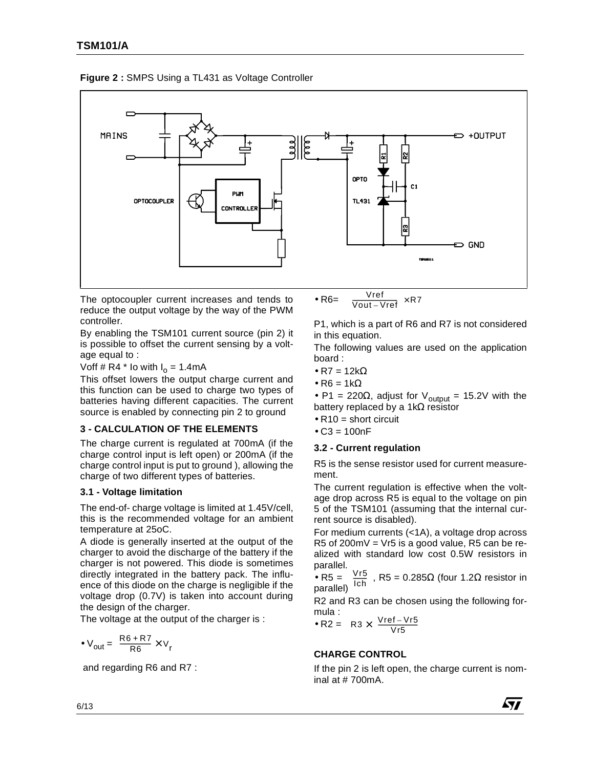

**Figure 2 :** SMPS Using a TL431 as Voltage Controller

The optocoupler current increases and tends to reduce the output voltage by the way of the PWM controller.

By enabling the TSM101 current source (pin 2) it is possible to offset the current sensing by a voltage equal to :

Voff # R4  $*$  Io with  $I_0 = 1.4$ mA

This offset lowers the output charge current and this function can be used to charge two types of batteries having different capacities. The current source is enabled by connecting pin 2 to ground

#### **3 - CALCULATION OF THE ELEMENTS**

The charge current is regulated at 700mA (if the charge control input is left open) or 200mA (if the charge control input is put to ground ), allowing the charge of two different types of batteries.

#### **3.1 - Voltage limitation**

The end-of- charge voltage is limited at 1.45V/cell, this is the recommended voltage for an ambient temperature at 25oC.

A diode is generally inserted at the output of the charger to avoid the discharge of the battery if the charger is not powered. This diode is sometimes directly integrated in the battery pack. The influence of this diode on the charge is negligible if the voltage drop (0.7V) is taken into account during the design of the charger.

The voltage at the output of the charger is :

$$
\bullet \text{ V}_{\text{out}} = \frac{\text{R6} + \text{R7}}{\text{R6}} \times \text{V}_{\text{r}}
$$

and regarding R6 and R7 :

• R6= Vref  $\left(\frac{\nu_{\text{ref}}}{\nu_{\text{out}} - \nu_{\text{ref}}}\right) \times \text{R7}$ 

P1, which is a part of R6 and R7 is not considered in this equation.

The following values are used on the application board :

- R7 =  $12k\Omega$
- $\bullet$  R6 = 1kΩ

• P1 = 220 $\Omega$ , adjust for V<sub>output</sub> = 15.2V with the battery replaced by a 1kΩ resistor

- $R10 =$  short circuit
- $\bullet$  C3 = 100nF

#### **3.2 - Current regulation**

R5 is the sense resistor used for current measurement.

The current regulation is effective when the voltage drop across R5 is equal to the voltage on pin 5 of the TSM101 (assuming that the internal current source is disabled).

For medium currents (<1A), a voltage drop across R5 of 200mV = Vr5 is a good value, R5 can be realized with standard low cost 0.5W resistors in parallel.

• R5 =  $\frac{100}{111}$ , R5 = 0.285 $\Omega$  (four 1.2 $\Omega$  resistor in parallel) Vr5  $I$ ch

R2 and R3 can be chosen using the following formula :

• R2 = R3 × 
$$
\left(\frac{\text{Vref} - \text{Vr5}}{\text{Vr5}}\right)
$$

## **CHARGE CONTROL**

If the pin 2 is left open, the charge current is nominal at # 700mA.

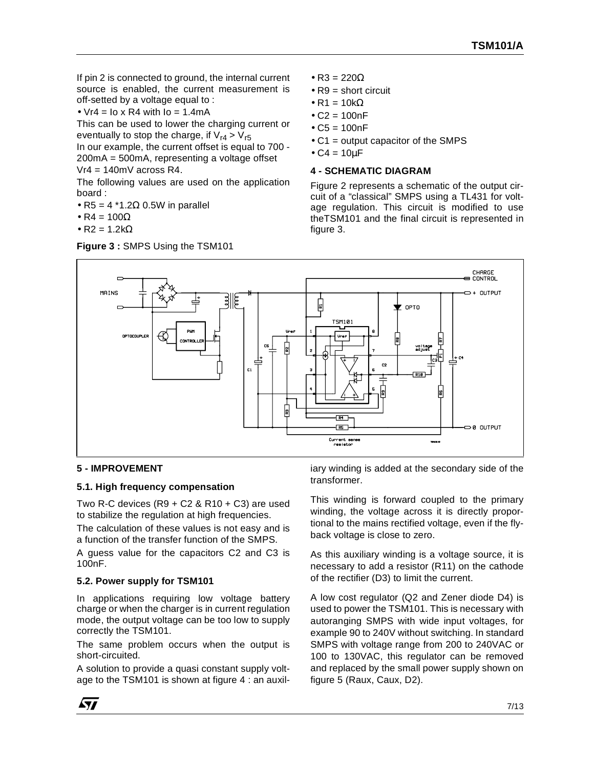If pin 2 is connected to ground, the internal current source is enabled, the current measurement is off-setted by a voltage equal to :

•  $Vr4 = I_0 \times R4$  with  $I_0 = 1.4$ mA

This can be used to lower the charging current or eventually to stop the charge, if  $V_{r4} > V_{r5}$ 

In our example, the current offset is equal to 700 - 200mA = 500mA, representing a voltage offset  $Vr4 = 140mV$  across R4.

The following values are used on the application board :

- $R5 = 4$  \*1.2 $\Omega$  0.5W in parallel
- $R4 = 100\Omega$
- $R2 = 1.2k\Omega$

**Figure 3 :** SMPS Using the TSM101

- $R3 = 220\Omega$
- $R9$  = short circuit
- $R1 = 10k\Omega$
- $C2 = 100nF$
- $C5 = 100nF$
- C1 = output capacitor of the SMPS
- $\bullet$  C4 = 10 $\mu$ F

#### **4 - SCHEMATIC DIAGRAM**

Figure 2 represents a schematic of the output circuit of a "classical" SMPS using a TL431 for voltage regulation. This circuit is modified to use theTSM101 and the final circuit is represented in figure 3.



#### **5 - IMPROVEMENT**

#### **5.1. High frequency compensation**

Two R-C devices  $(R9 + C2 \& R10 + C3)$  are used to stabilize the regulation at high frequencies.

The calculation of these values is not easy and is a function of the transfer function of the SMPS.

A guess value for the capacitors C2 and C3 is 100nF.

#### **5.2. Power supply for TSM101**

In applications requiring low voltage battery charge or when the charger is in current regulation mode, the output voltage can be too low to supply correctly the TSM101.

The same problem occurs when the output is short-circuited.

A solution to provide a quasi constant supply voltage to the TSM101 is shown at figure 4 : an auxil-

iary winding is added at the secondary side of the transformer.

This winding is forward coupled to the primary winding, the voltage across it is directly proportional to the mains rectified voltage, even if the flyback voltage is close to zero.

As this auxiliary winding is a voltage source, it is necessary to add a resistor (R11) on the cathode of the rectifier (D3) to limit the current.

A low cost regulator (Q2 and Zener diode D4) is used to power the TSM101. This is necessary with autoranging SMPS with wide input voltages, for example 90 to 240V without switching. In standard SMPS with voltage range from 200 to 240VAC or 100 to 130VAC, this regulator can be removed and replaced by the small power supply shown on figure 5 (Raux, Caux, D2).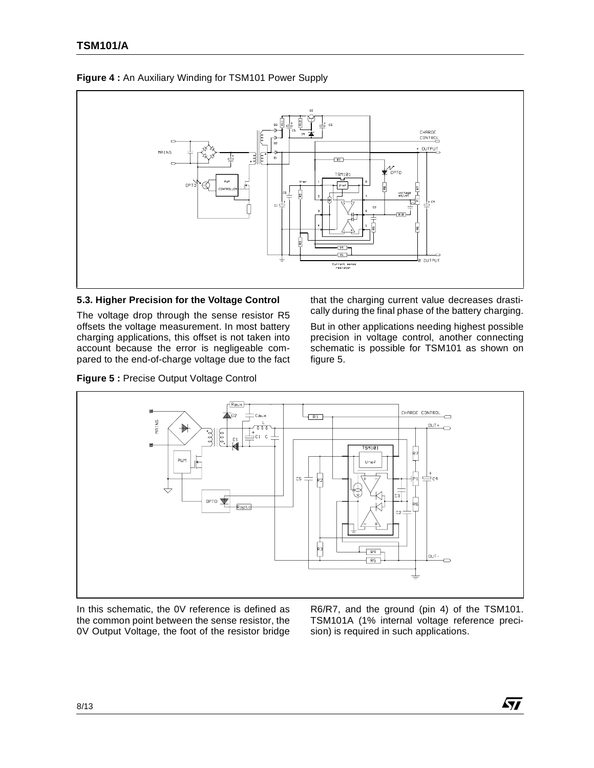

### **Figure 4 :** An Auxiliary Winding for TSM101 Power Supply

#### **5.3. Higher Precision for the Voltage Control**

The voltage drop through the sense resistor R5 offsets the voltage measurement. In most battery charging applications, this offset is not taken into account because the error is negligeable compared to the end-of-charge voltage due to the fact

**Figure 5 :** Precise Output Voltage Control

that the charging current value decreases drastically during the final phase of the battery charging.

But in other applications needing highest possible precision in voltage control, another connecting schematic is possible for TSM101 as shown on figure 5.



In this schematic, the 0V reference is defined as the common point between the sense resistor, the 0V Output Voltage, the foot of the resistor bridge

R6/R7, and the ground (pin 4) of the TSM101. TSM101A (1% internal voltage reference precision) is required in such applications.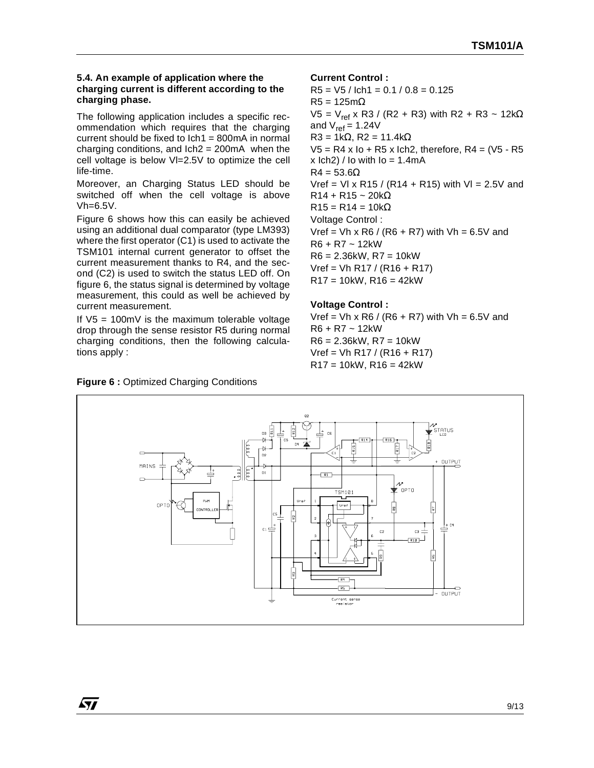#### **5.4. An example of application where the charging current is different according to the charging phase.**

The following application includes a specific recommendation which requires that the charging current should be fixed to  $lch1 = 800 \text{mA}$  in normal charging conditions, and  $lch2 = 200mA$  when the cell voltage is below Vl=2.5V to optimize the cell life-time.

Moreover, an Charging Status LED should be switched off when the cell voltage is above Vh=6.5V.

Figure 6 shows how this can easily be achieved using an additional dual comparator (type LM393) where the first operator (C1) is used to activate the TSM101 internal current generator to offset the current measurement thanks to R4, and the second (C2) is used to switch the status LED off. On figure 6, the status signal is determined by voltage measurement, this could as well be achieved by current measurement.

If  $V5 = 100 \text{mV}$  is the maximum tolerable voltage drop through the sense resistor R5 during normal charging conditions, then the following calculations apply :

#### **Current Control :**

 $R5 = V5 / Ich1 = 0.1 / 0.8 = 0.125$  $R5 = 125m\Omega$ V5 = V<sub>ref</sub> x R3 / (R2 + R3) with R2 + R3 ~ 12kΩ and  $V_{ref} = 1.24V$ R3 = 1kΩ, R2 = 11.4kΩ  $V5 = R4 x$  Io + R5 x Ich2, therefore, R4 = (V5 - R5  $x$  lch2) / lo with  $I_0 = 1.4$ mA  $R4 = 53.6\Omega$ Vref = VI x R15 / (R14 + R15) with VI =  $2.5V$  and  $R14 + R15 \sim 20k\Omega$  $R15 = R14 = 10kΩ$ Voltage Control :  $Vref = Vh \times R6 / (R6 + R7)$  with  $Vh = 6.5V$  and R6 + R7 ~ 12kW  $R6 = 2.36$ kW,  $R7 = 10$ kW  $Vref = Vh R17 / (R16 + R17)$  $R17 = 10$ kW,  $R16 = 42$ kW

#### **Voltage Control :**

 $Vref = Vh \times R6 / (R6 + R7)$  with  $Vh = 6.5V$  and R6 + R7 ~ 12kW R6 = 2.36kW, R7 = 10kW  $Vref = Vh R17 / (R16 + R17)$  $R17 = 10$ kW,  $R16 = 42$ kW



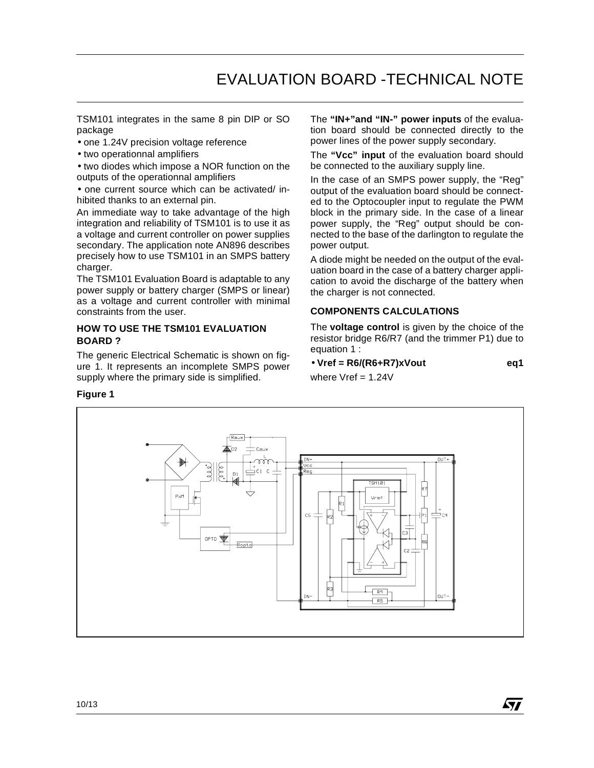TSM101 integrates in the same 8 pin DIP or SO package

- one 1.24V precision voltage reference
- two operationnal amplifiers

• two diodes which impose a NOR function on the outputs of the operationnal amplifiers

• one current source which can be activated/ inhibited thanks to an external pin.

An immediate way to take advantage of the high integration and reliability of TSM101 is to use it as a voltage and current controller on power supplies secondary. The application note AN896 describes precisely how to use TSM101 in an SMPS battery charger.

The TSM101 Evaluation Board is adaptable to any power supply or battery charger (SMPS or linear) as a voltage and current controller with minimal constraints from the user.

#### **HOW TO USE THE TSM101 EVALUATION BOARD ?**

The generic Electrical Schematic is shown on figure 1. It represents an incomplete SMPS power supply where the primary side is simplified.

The **"IN+"and "IN-" power inputs** of the evaluation board should be connected directly to the power lines of the power supply secondary.

The **"Vcc" input** of the evaluation board should be connected to the auxiliary supply line.

In the case of an SMPS power supply, the "Reg" output of the evaluation board should be connected to the Optocoupler input to regulate the PWM block in the primary side. In the case of a linear power supply, the "Reg" output should be connected to the base of the darlington to regulate the power output.

A diode might be needed on the output of the evaluation board in the case of a battery charger application to avoid the discharge of the battery when the charger is not connected.

#### **COMPONENTS CALCULATIONS**

The **voltage control** is given by the choice of the resistor bridge R6/R7 (and the trimmer P1) due to equation 1 :

• **Vref = R6/(R6+R7)xVout eq1** where  $Vref = 1.24V$ 



#### **Figure 1**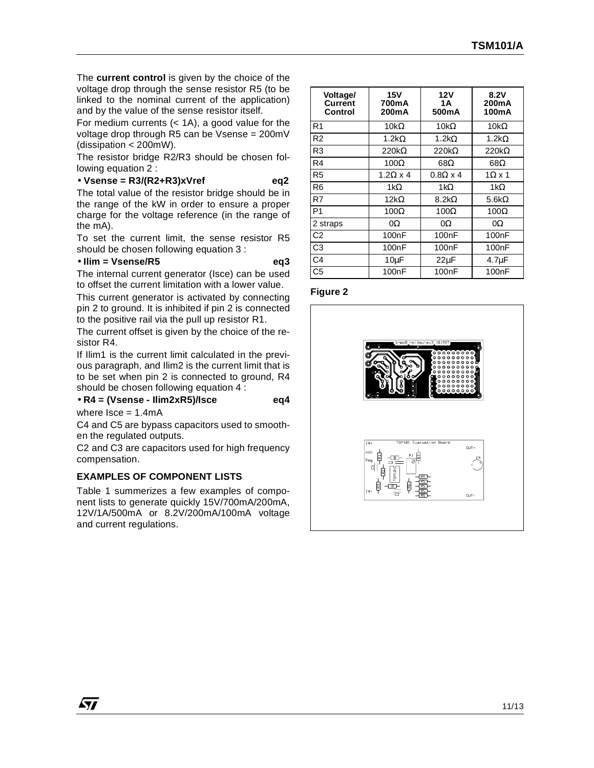The **current control** is given by the choice of the voltage drop through the sense resistor R5 (to be linked to the nominal current of the application) and by the value of the sense resistor itself.

For medium currents  $( $1A$ ), a good value for the$ voltage drop through R5 can be Vsense = 200mV (dissipation < 200mW).

The resistor bridge R2/R3 should be chosen following equation 2 :

#### • **Vsense = R3/(R2+R3)xVref eq2**

The total value of the resistor bridge should be in the range of the kW in order to ensure a proper charge for the voltage reference (in the range of the mA).

To set the current limit, the sense resistor R5 should be chosen following equation 3 :

#### • **Ilim = Vsense/R5 eq3**

The internal current generator (Isce) can be used to offset the current limitation with a lower value.

This current generator is activated by connecting pin 2 to ground. It is inhibited if pin 2 is connected to the positive rail via the pull up resistor R1.

The current offset is given by the choice of the resistor R4.

If Ilim1 is the current limit calculated in the previous paragraph, and Ilim2 is the current limit that is to be set when pin 2 is connected to ground, R4 should be chosen following equation 4 :

# • **R4 = (Vsense - Ilim2xR5)/Isce eq4**

where  $Isce = 1.4mA$ 

57

C4 and C5 are bypass capacitors used to smoothen the regulated outputs.

C2 and C3 are capacitors used for high frequency compensation.

#### **EXAMPLES OF COMPONENT LISTS**

Table 1 summerizes a few examples of component lists to generate quickly 15V/700mA/200mA, 12V/1A/500mA or 8.2V/200mA/100mA voltage and current regulations.

| Voltage/<br><b>Current</b><br>Control | 15V<br>700mA<br>200mA | 12V<br>1Α<br>500 <sub>m</sub> A | 8.2V<br>200 <sub>m</sub> A<br>100 <sub>m</sub> A |
|---------------------------------------|-----------------------|---------------------------------|--------------------------------------------------|
| R <sub>1</sub>                        | 10k $\Omega$          | 10k $\Omega$                    | 10 $k\Omega$                                     |
| R <sub>2</sub>                        | 1.2k $\Omega$         | 1.2k $\Omega$                   | 1.2k $\Omega$                                    |
| R3                                    | $220k\Omega$          | $220k\Omega$                    | $220k\Omega$                                     |
| R4                                    | $100\Omega$           | $68\Omega$                      | $68\Omega$                                       |
| R5                                    | $1.2\Omega \times 4$  | $0.8\Omega \times 4$            | $1\Omega \times 1$                               |
| R <sub>6</sub>                        | 1k $\Omega$           | $1k\Omega$                      | 1 $k\Omega$                                      |
| R7                                    | 12k $\Omega$          | $8.2k\Omega$                    | 5.6k $\Omega$                                    |
| P <sub>1</sub>                        | $100\Omega$           | $100\Omega$                     | $100\Omega$                                      |
| 2 straps                              | 0Ω                    | 0Ω                              | 0Ω                                               |
| C <sub>2</sub>                        | 100 <sub>n</sub> F    | 100 <sub>n</sub> F              | 100 <sub>n</sub> F                               |
| C3                                    | 100nF                 | 100 <sub>n</sub> F              | 100 <sub>n</sub> F                               |
| C4                                    | $10\mu F$             | $22\mu F$                       | $4.7\mu F$                                       |
| C5                                    | 100nF                 | 100 <sub>n</sub> F              | 100nF                                            |

#### **Figure 2**

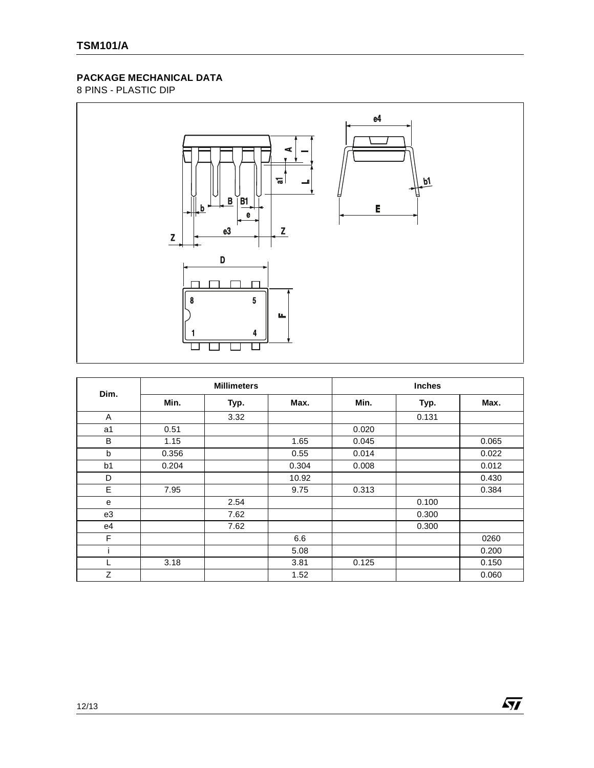# **PACKAGE MECHANICAL DATA**

8 PINS - PLASTIC DIP



| Dim.           |       | <b>Millimeters</b> |       | Inches |       |       |  |
|----------------|-------|--------------------|-------|--------|-------|-------|--|
|                | Min.  | Typ.               | Max.  | Min.   | Typ.  | Max.  |  |
| Α              |       | 3.32               |       |        | 0.131 |       |  |
| a <sub>1</sub> | 0.51  |                    |       | 0.020  |       |       |  |
| B              | 1.15  |                    | 1.65  | 0.045  |       | 0.065 |  |
| b              | 0.356 |                    | 0.55  | 0.014  |       | 0.022 |  |
| b1             | 0.204 |                    | 0.304 | 0.008  |       | 0.012 |  |
| D              |       |                    | 10.92 |        |       | 0.430 |  |
| E              | 7.95  |                    | 9.75  | 0.313  |       | 0.384 |  |
| e              |       | 2.54               |       |        | 0.100 |       |  |
| e3             |       | 7.62               |       |        | 0.300 |       |  |
| e4             |       | 7.62               |       |        | 0.300 |       |  |
| F              |       |                    | 6.6   |        |       | 0260  |  |
|                |       |                    | 5.08  |        |       | 0.200 |  |
| L              | 3.18  |                    | 3.81  | 0.125  |       | 0.150 |  |
| Ζ              |       |                    | 1.52  |        |       | 0.060 |  |